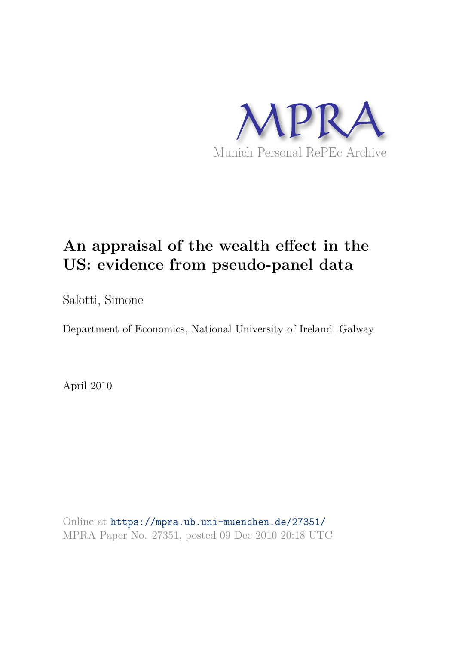

# **An appraisal of the wealth effect in the US: evidence from pseudo-panel data**

Salotti, Simone

Department of Economics, National University of Ireland, Galway

April 2010

Online at https://mpra.ub.uni-muenchen.de/27351/ MPRA Paper No. 27351, posted 09 Dec 2010 20:18 UTC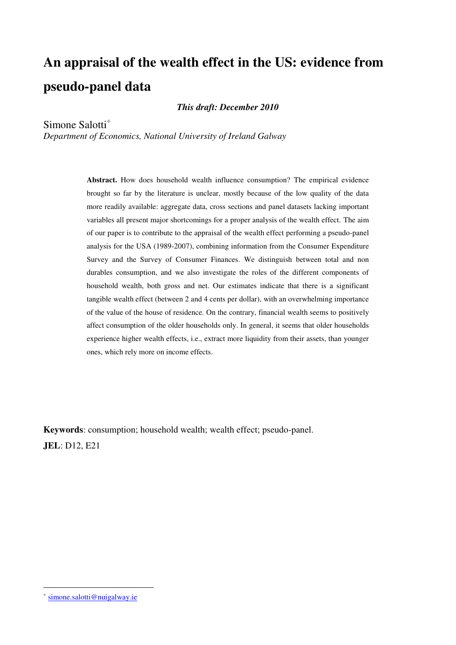# **An appraisal of the wealth effect in the US: evidence from pseudo-panel data**

*This draft: December 2010* 

Simone Salotti

*Department of Economics, National University of Ireland Galway* 

**Abstract.** How does household wealth influence consumption? The empirical evidence brought so far by the literature is unclear, mostly because of the low quality of the data more readily available: aggregate data, cross sections and panel datasets lacking important variables all present major shortcomings for a proper analysis of the wealth effect. The aim of our paper is to contribute to the appraisal of the wealth effect performing a pseudo-panel analysis for the USA (1989-2007), combining information from the Consumer Expenditure Survey and the Survey of Consumer Finances. We distinguish between total and non durables consumption, and we also investigate the roles of the different components of household wealth, both gross and net. Our estimates indicate that there is a significant tangible wealth effect (between 2 and 4 cents per dollar), with an overwhelming importance of the value of the house of residence. On the contrary, financial wealth seems to positively affect consumption of the older households only. In general, it seems that older households experience higher wealth effects, i.e., extract more liquidity from their assets, than younger ones, which rely more on income effects.

**Keywords**: consumption; household wealth; wealth effect; pseudo-panel. **JEL**: D12, E21

<u>.</u>

<sup>÷</sup> simone[.salotti@nuigalway.ie](mailto:salotti@nuigalway.ie)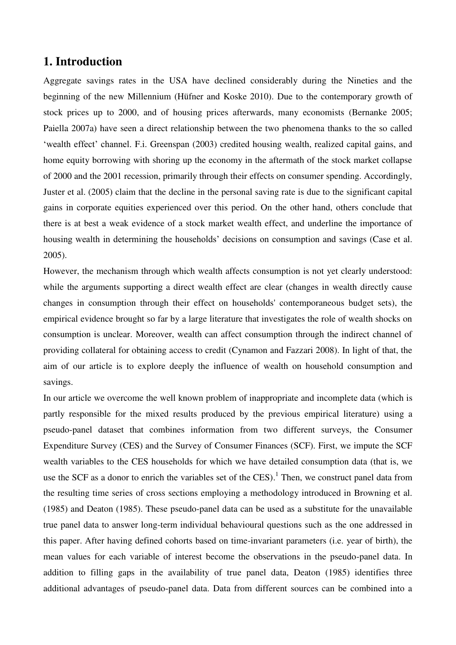### **1. Introduction**

Aggregate savings rates in the USA have declined considerably during the Nineties and the beginning of the new Millennium (Hüfner and Koske 2010). Due to the contemporary growth of stock prices up to 2000, and of housing prices afterwards, many economists (Bernanke 2005; Paiella 2007a) have seen a direct relationship between the two phenomena thanks to the so called ‗wealth effect' channel. F.i. Greenspan (2003) credited housing wealth, realized capital gains, and home equity borrowing with shoring up the economy in the aftermath of the stock market collapse of 2000 and the 2001 recession, primarily through their effects on consumer spending. Accordingly, Juster et al. (2005) claim that the decline in the personal saving rate is due to the significant capital gains in corporate equities experienced over this period. On the other hand, others conclude that there is at best a weak evidence of a stock market wealth effect, and underline the importance of housing wealth in determining the households' decisions on consumption and savings (Case et al. 2005).

However, the mechanism through which wealth affects consumption is not yet clearly understood: while the arguments supporting a direct wealth effect are clear (changes in wealth directly cause changes in consumption through their effect on households' contemporaneous budget sets), the empirical evidence brought so far by a large literature that investigates the role of wealth shocks on consumption is unclear. Moreover, wealth can affect consumption through the indirect channel of providing collateral for obtaining access to credit (Cynamon and Fazzari 2008). In light of that, the aim of our article is to explore deeply the influence of wealth on household consumption and savings.

In our article we overcome the well known problem of inappropriate and incomplete data (which is partly responsible for the mixed results produced by the previous empirical literature) using a pseudo-panel dataset that combines information from two different surveys, the Consumer Expenditure Survey (CES) and the Survey of Consumer Finances (SCF). First, we impute the SCF wealth variables to the CES households for which we have detailed consumption data (that is, we use the SCF as a donor to enrich the variables set of the CES).<sup>1</sup> Then, we construct panel data from the resulting time series of cross sections employing a methodology introduced in Browning et al. (1985) and Deaton (1985). These pseudo-panel data can be used as a substitute for the unavailable true panel data to answer long-term individual behavioural questions such as the one addressed in this paper. After having defined cohorts based on time-invariant parameters (i.e. year of birth), the mean values for each variable of interest become the observations in the pseudo-panel data. In addition to filling gaps in the availability of true panel data, Deaton (1985) identifies three additional advantages of pseudo-panel data. Data from different sources can be combined into a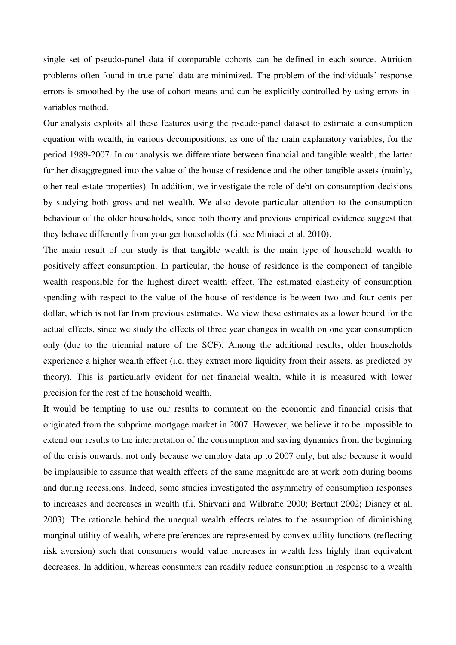single set of pseudo-panel data if comparable cohorts can be defined in each source. Attrition problems often found in true panel data are minimized. The problem of the individuals' response errors is smoothed by the use of cohort means and can be explicitly controlled by using errors-invariables method.

Our analysis exploits all these features using the pseudo-panel dataset to estimate a consumption equation with wealth, in various decompositions, as one of the main explanatory variables, for the period 1989-2007. In our analysis we differentiate between financial and tangible wealth, the latter further disaggregated into the value of the house of residence and the other tangible assets (mainly, other real estate properties). In addition, we investigate the role of debt on consumption decisions by studying both gross and net wealth. We also devote particular attention to the consumption behaviour of the older households, since both theory and previous empirical evidence suggest that they behave differently from younger households (f.i. see Miniaci et al. 2010).

The main result of our study is that tangible wealth is the main type of household wealth to positively affect consumption. In particular, the house of residence is the component of tangible wealth responsible for the highest direct wealth effect. The estimated elasticity of consumption spending with respect to the value of the house of residence is between two and four cents per dollar, which is not far from previous estimates. We view these estimates as a lower bound for the actual effects, since we study the effects of three year changes in wealth on one year consumption only (due to the triennial nature of the SCF). Among the additional results, older households experience a higher wealth effect (i.e. they extract more liquidity from their assets, as predicted by theory). This is particularly evident for net financial wealth, while it is measured with lower precision for the rest of the household wealth.

It would be tempting to use our results to comment on the economic and financial crisis that originated from the subprime mortgage market in 2007. However, we believe it to be impossible to extend our results to the interpretation of the consumption and saving dynamics from the beginning of the crisis onwards, not only because we employ data up to 2007 only, but also because it would be implausible to assume that wealth effects of the same magnitude are at work both during booms and during recessions. Indeed, some studies investigated the asymmetry of consumption responses to increases and decreases in wealth (f.i. Shirvani and Wilbratte 2000; Bertaut 2002; Disney et al. 2003). The rationale behind the unequal wealth effects relates to the assumption of diminishing marginal utility of wealth, where preferences are represented by convex utility functions (reflecting risk aversion) such that consumers would value increases in wealth less highly than equivalent decreases. In addition, whereas consumers can readily reduce consumption in response to a wealth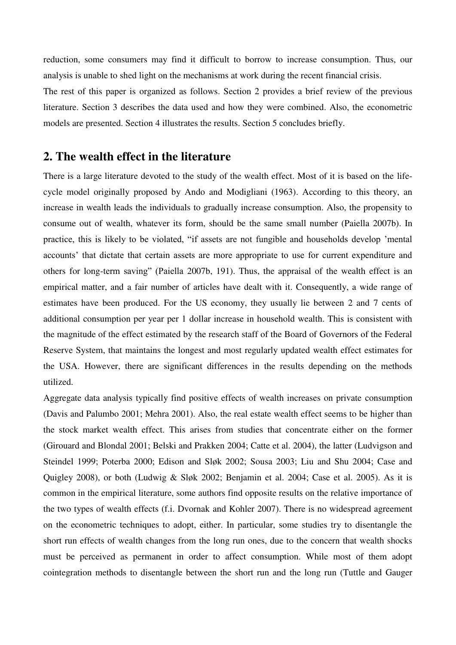reduction, some consumers may find it difficult to borrow to increase consumption. Thus, our analysis is unable to shed light on the mechanisms at work during the recent financial crisis.

The rest of this paper is organized as follows. Section 2 provides a brief review of the previous literature. Section 3 describes the data used and how they were combined. Also, the econometric models are presented. Section 4 illustrates the results. Section 5 concludes briefly.

# **2. The wealth effect in the literature**

There is a large literature devoted to the study of the wealth effect. Most of it is based on the lifecycle model originally proposed by Ando and Modigliani (1963). According to this theory, an increase in wealth leads the individuals to gradually increase consumption. Also, the propensity to consume out of wealth, whatever its form, should be the same small number (Paiella 2007b). In practice, this is likely to be violated, "if assets are not fungible and households develop 'mental accounts' that dictate that certain assets are more appropriate to use for current expenditure and others for long-term saving" (Paiella 2007b, 191). Thus, the appraisal of the wealth effect is an empirical matter, and a fair number of articles have dealt with it. Consequently, a wide range of estimates have been produced. For the US economy, they usually lie between 2 and 7 cents of additional consumption per year per 1 dollar increase in household wealth. This is consistent with the magnitude of the effect estimated by the research staff of the Board of Governors of the Federal Reserve System, that maintains the longest and most regularly updated wealth effect estimates for the USA. However, there are significant differences in the results depending on the methods utilized.

Aggregate data analysis typically find positive effects of wealth increases on private consumption (Davis and Palumbo 2001; Mehra 2001). Also, the real estate wealth effect seems to be higher than the stock market wealth effect. This arises from studies that concentrate either on the former (Girouard and Blondal 2001; Belski and Prakken 2004; Catte et al. 2004), the latter (Ludvigson and Steindel 1999; Poterba 2000; Edison and Sløk 2002; Sousa 2003; Liu and Shu 2004; Case and Quigley 2008), or both (Ludwig & Sløk 2002; Benjamin et al. 2004; Case et al. 2005). As it is common in the empirical literature, some authors find opposite results on the relative importance of the two types of wealth effects (f.i. Dvornak and Kohler 2007). There is no widespread agreement on the econometric techniques to adopt, either. In particular, some studies try to disentangle the short run effects of wealth changes from the long run ones, due to the concern that wealth shocks must be perceived as permanent in order to affect consumption. While most of them adopt cointegration methods to disentangle between the short run and the long run (Tuttle and Gauger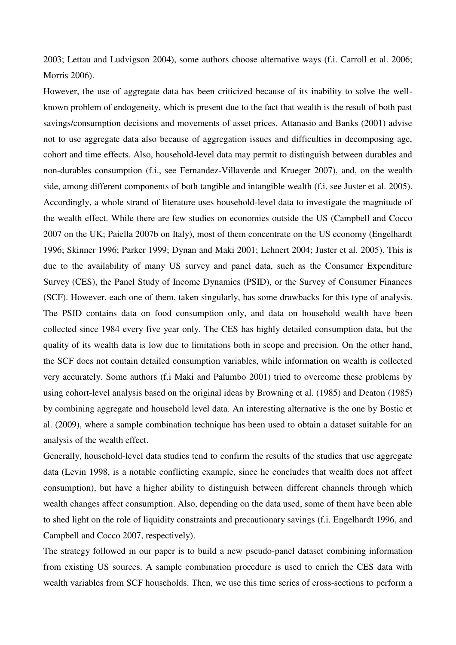2003; Lettau and Ludvigson 2004), some authors choose alternative ways (f.i. Carroll et al. 2006; Morris 2006).

However, the use of aggregate data has been criticized because of its inability to solve the wellknown problem of endogeneity, which is present due to the fact that wealth is the result of both past savings/consumption decisions and movements of asset prices. Attanasio and Banks (2001) advise not to use aggregate data also because of aggregation issues and difficulties in decomposing age, cohort and time effects. Also, household-level data may permit to distinguish between durables and non-durables consumption (f.i., see Fernandez-Villaverde and Krueger 2007), and, on the wealth side, among different components of both tangible and intangible wealth (f.i. see Juster et al. 2005). Accordingly, a whole strand of literature uses household-level data to investigate the magnitude of the wealth effect. While there are few studies on economies outside the US (Campbell and Cocco 2007 on the UK; Paiella 2007b on Italy), most of them concentrate on the US economy (Engelhardt 1996; Skinner 1996; Parker 1999; Dynan and Maki 2001; Lehnert 2004; Juster et al. 2005). This is due to the availability of many US survey and panel data, such as the Consumer Expenditure Survey (CES), the Panel Study of Income Dynamics (PSID), or the Survey of Consumer Finances (SCF). However, each one of them, taken singularly, has some drawbacks for this type of analysis. The PSID contains data on food consumption only, and data on household wealth have been collected since 1984 every five year only. The CES has highly detailed consumption data, but the quality of its wealth data is low due to limitations both in scope and precision. On the other hand, the SCF does not contain detailed consumption variables, while information on wealth is collected very accurately. Some authors (f.i Maki and Palumbo 2001) tried to overcome these problems by using cohort-level analysis based on the original ideas by Browning et al. (1985) and Deaton (1985) by combining aggregate and household level data. An interesting alternative is the one by Bostic et al. (2009), where a sample combination technique has been used to obtain a dataset suitable for an analysis of the wealth effect.

Generally, household-level data studies tend to confirm the results of the studies that use aggregate data (Levin 1998, is a notable conflicting example, since he concludes that wealth does not affect consumption), but have a higher ability to distinguish between different channels through which wealth changes affect consumption. Also, depending on the data used, some of them have been able to shed light on the role of liquidity constraints and precautionary savings (f.i. Engelhardt 1996, and Campbell and Cocco 2007, respectively).

The strategy followed in our paper is to build a new pseudo-panel dataset combining information from existing US sources. A sample combination procedure is used to enrich the CES data with wealth variables from SCF households. Then, we use this time series of cross-sections to perform a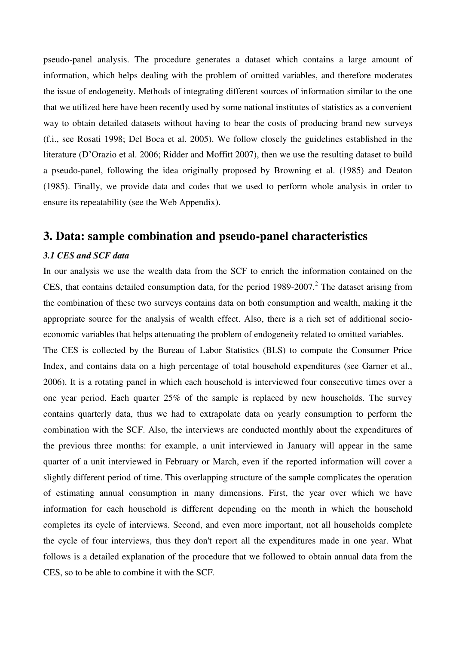pseudo-panel analysis. The procedure generates a dataset which contains a large amount of information, which helps dealing with the problem of omitted variables, and therefore moderates the issue of endogeneity. Methods of integrating different sources of information similar to the one that we utilized here have been recently used by some national institutes of statistics as a convenient way to obtain detailed datasets without having to bear the costs of producing brand new surveys (f.i., see Rosati 1998; Del Boca et al. 2005). We follow closely the guidelines established in the literature (D'Orazio et al. 2006; Ridder and Moffitt 2007), then we use the resulting dataset to build a pseudo-panel, following the idea originally proposed by Browning et al. (1985) and Deaton (1985). Finally, we provide data and codes that we used to perform whole analysis in order to ensure its repeatability (see the Web Appendix).

## **3. Data: sample combination and pseudo-panel characteristics**

#### *3.1 CES and SCF data*

In our analysis we use the wealth data from the SCF to enrich the information contained on the CES, that contains detailed consumption data, for the period  $1989-2007$ .<sup>2</sup> The dataset arising from the combination of these two surveys contains data on both consumption and wealth, making it the appropriate source for the analysis of wealth effect. Also, there is a rich set of additional socioeconomic variables that helps attenuating the problem of endogeneity related to omitted variables.

The CES is collected by the Bureau of Labor Statistics (BLS) to compute the Consumer Price Index, and contains data on a high percentage of total household expenditures (see Garner et al., 2006). It is a rotating panel in which each household is interviewed four consecutive times over a one year period. Each quarter 25% of the sample is replaced by new households. The survey contains quarterly data, thus we had to extrapolate data on yearly consumption to perform the combination with the SCF. Also, the interviews are conducted monthly about the expenditures of the previous three months: for example, a unit interviewed in January will appear in the same quarter of a unit interviewed in February or March, even if the reported information will cover a slightly different period of time. This overlapping structure of the sample complicates the operation of estimating annual consumption in many dimensions. First, the year over which we have information for each household is different depending on the month in which the household completes its cycle of interviews. Second, and even more important, not all households complete the cycle of four interviews, thus they don't report all the expenditures made in one year. What follows is a detailed explanation of the procedure that we followed to obtain annual data from the CES, so to be able to combine it with the SCF.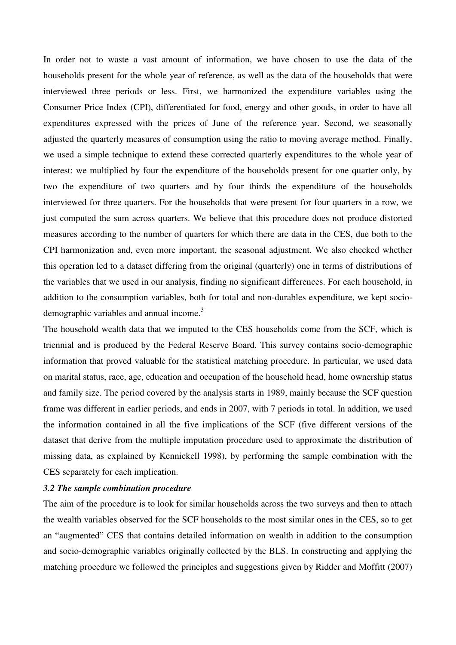In order not to waste a vast amount of information, we have chosen to use the data of the households present for the whole year of reference, as well as the data of the households that were interviewed three periods or less. First, we harmonized the expenditure variables using the Consumer Price Index (CPI), differentiated for food, energy and other goods, in order to have all expenditures expressed with the prices of June of the reference year. Second, we seasonally adjusted the quarterly measures of consumption using the ratio to moving average method. Finally, we used a simple technique to extend these corrected quarterly expenditures to the whole year of interest: we multiplied by four the expenditure of the households present for one quarter only, by two the expenditure of two quarters and by four thirds the expenditure of the households interviewed for three quarters. For the households that were present for four quarters in a row, we just computed the sum across quarters. We believe that this procedure does not produce distorted measures according to the number of quarters for which there are data in the CES, due both to the CPI harmonization and, even more important, the seasonal adjustment. We also checked whether this operation led to a dataset differing from the original (quarterly) one in terms of distributions of the variables that we used in our analysis, finding no significant differences. For each household, in addition to the consumption variables, both for total and non-durables expenditure, we kept sociodemographic variables and annual income.<sup>3</sup>

The household wealth data that we imputed to the CES households come from the SCF, which is triennial and is produced by the Federal Reserve Board. This survey contains socio-demographic information that proved valuable for the statistical matching procedure. In particular, we used data on marital status, race, age, education and occupation of the household head, home ownership status and family size. The period covered by the analysis starts in 1989, mainly because the SCF question frame was different in earlier periods, and ends in 2007, with 7 periods in total. In addition, we used the information contained in all the five implications of the SCF (five different versions of the dataset that derive from the multiple imputation procedure used to approximate the distribution of missing data, as explained by Kennickell 1998), by performing the sample combination with the CES separately for each implication.

#### *3.2 The sample combination procedure*

The aim of the procedure is to look for similar households across the two surveys and then to attach the wealth variables observed for the SCF households to the most similar ones in the CES, so to get an "augmented" CES that contains detailed information on wealth in addition to the consumption and socio-demographic variables originally collected by the BLS. In constructing and applying the matching procedure we followed the principles and suggestions given by Ridder and Moffitt (2007)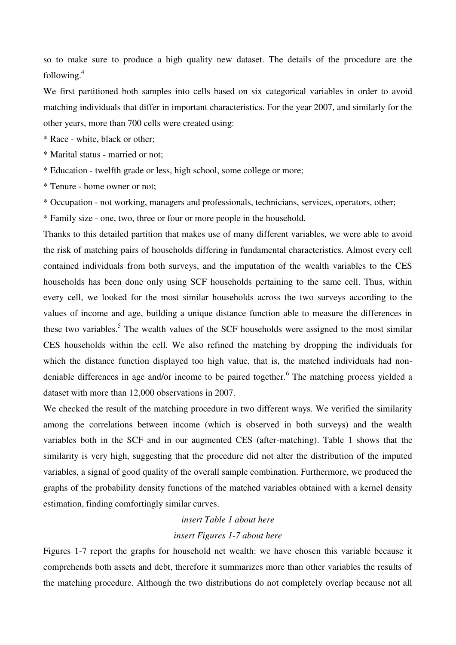so to make sure to produce a high quality new dataset. The details of the procedure are the following.<sup>4</sup>

We first partitioned both samples into cells based on six categorical variables in order to avoid matching individuals that differ in important characteristics. For the year 2007, and similarly for the other years, more than 700 cells were created using:

\* Race - white, black or other;

\* Marital status - married or not;

\* Education - twelfth grade or less, high school, some college or more;

\* Tenure - home owner or not;

\* Occupation - not working, managers and professionals, technicians, services, operators, other;

\* Family size - one, two, three or four or more people in the household.

Thanks to this detailed partition that makes use of many different variables, we were able to avoid the risk of matching pairs of households differing in fundamental characteristics. Almost every cell contained individuals from both surveys, and the imputation of the wealth variables to the CES households has been done only using SCF households pertaining to the same cell. Thus, within every cell, we looked for the most similar households across the two surveys according to the values of income and age, building a unique distance function able to measure the differences in these two variables.<sup>5</sup> The wealth values of the SCF households were assigned to the most similar CES households within the cell. We also refined the matching by dropping the individuals for which the distance function displayed too high value, that is, the matched individuals had nondeniable differences in age and/or income to be paired together.<sup>6</sup> The matching process yielded a dataset with more than 12,000 observations in 2007.

We checked the result of the matching procedure in two different ways. We verified the similarity among the correlations between income (which is observed in both surveys) and the wealth variables both in the SCF and in our augmented CES (after-matching). Table 1 shows that the similarity is very high, suggesting that the procedure did not alter the distribution of the imputed variables, a signal of good quality of the overall sample combination. Furthermore, we produced the graphs of the probability density functions of the matched variables obtained with a kernel density estimation, finding comfortingly similar curves.

# *insert Table 1 about here insert Figures 1-7 about here*

Figures 1-7 report the graphs for household net wealth: we have chosen this variable because it comprehends both assets and debt, therefore it summarizes more than other variables the results of the matching procedure. Although the two distributions do not completely overlap because not all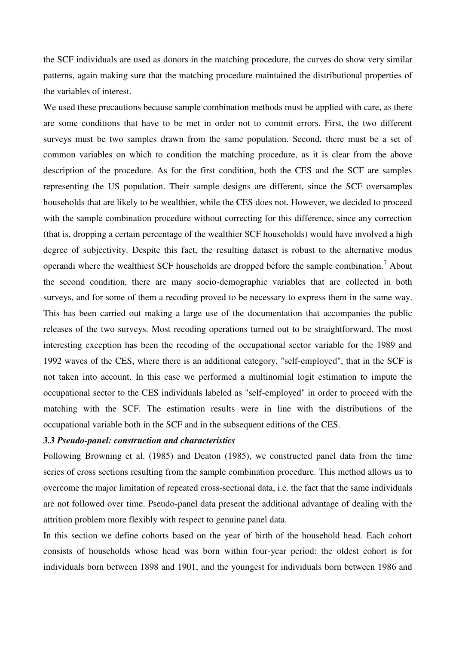the SCF individuals are used as donors in the matching procedure, the curves do show very similar patterns, again making sure that the matching procedure maintained the distributional properties of the variables of interest.

We used these precautions because sample combination methods must be applied with care, as there are some conditions that have to be met in order not to commit errors. First, the two different surveys must be two samples drawn from the same population. Second, there must be a set of common variables on which to condition the matching procedure, as it is clear from the above description of the procedure. As for the first condition, both the CES and the SCF are samples representing the US population. Their sample designs are different, since the SCF oversamples households that are likely to be wealthier, while the CES does not. However, we decided to proceed with the sample combination procedure without correcting for this difference, since any correction (that is, dropping a certain percentage of the wealthier SCF households) would have involved a high degree of subjectivity. Despite this fact, the resulting dataset is robust to the alternative modus operandi where the wealthiest SCF households are dropped before the sample combination.<sup>7</sup> About the second condition, there are many socio-demographic variables that are collected in both surveys, and for some of them a recoding proved to be necessary to express them in the same way. This has been carried out making a large use of the documentation that accompanies the public releases of the two surveys. Most recoding operations turned out to be straightforward. The most interesting exception has been the recoding of the occupational sector variable for the 1989 and 1992 waves of the CES, where there is an additional category, "self-employed", that in the SCF is not taken into account. In this case we performed a multinomial logit estimation to impute the occupational sector to the CES individuals labeled as "self-employed" in order to proceed with the matching with the SCF. The estimation results were in line with the distributions of the occupational variable both in the SCF and in the subsequent editions of the CES.

#### *3.3 Pseudo-panel: construction and characteristics*

Following Browning et al. (1985) and Deaton (1985), we constructed panel data from the time series of cross sections resulting from the sample combination procedure. This method allows us to overcome the major limitation of repeated cross-sectional data, i.e. the fact that the same individuals are not followed over time. Pseudo-panel data present the additional advantage of dealing with the attrition problem more flexibly with respect to genuine panel data.

In this section we define cohorts based on the year of birth of the household head. Each cohort consists of households whose head was born within four-year period: the oldest cohort is for individuals born between 1898 and 1901, and the youngest for individuals born between 1986 and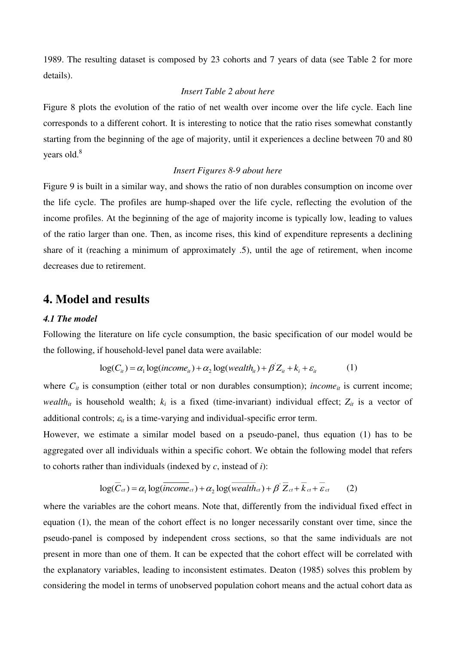1989. The resulting dataset is composed by 23 cohorts and 7 years of data (see Table 2 for more details).

#### *Insert Table 2 about here*

Figure 8 plots the evolution of the ratio of net wealth over income over the life cycle. Each line corresponds to a different cohort. It is interesting to notice that the ratio rises somewhat constantly starting from the beginning of the age of majority, until it experiences a decline between 70 and 80 years old.<sup>8</sup>

#### *Insert Figures 8-9 about here*

Figure 9 is built in a similar way, and shows the ratio of non durables consumption on income over the life cycle. The profiles are hump-shaped over the life cycle, reflecting the evolution of the income profiles. At the beginning of the age of majority income is typically low, leading to values of the ratio larger than one. Then, as income rises, this kind of expenditure represents a declining share of it (reaching a minimum of approximately .5), until the age of retirement, when income decreases due to retirement.

### **4. Model and results**

#### *4.1 The model*

Following the literature on life cycle consumption, the basic specification of our model would be the following, if household-level panel data were available:

$$
\log(C_{ii}) = \alpha_1 \log(income_{ii}) + \alpha_2 \log(wealth_{ii}) + \beta' Z_{ii} + k_i + \varepsilon_{ii}
$$
 (1)

where  $C_{it}$  is consumption (either total or non durables consumption); *income*<sub>it</sub> is current income; *wealth*<sup>*it</sup>* is household wealth;  $k_i$  is a fixed (time-invariant) individual effect;  $Z_{it}$  is a vector of</sup> additional controls;  $\varepsilon_{it}$  is a time-varying and individual-specific error term.

However, we estimate a similar model based on a pseudo-panel, thus equation (1) has to be aggregated over all individuals within a specific cohort. We obtain the following model that refers to cohorts rather than individuals (indexed by *c*, instead of *i*):

$$
\log(\overline{C}_{ct}) = \alpha_1 \log(\overline{income}_{ct}) + \alpha_2 \log(\overline{wealth}_{ct}) + \beta' \overline{Z}_{ct} + \overline{k}_{ct} + \overline{\varepsilon}_{ct} \qquad (2)
$$

where the variables are the cohort means. Note that, differently from the individual fixed effect in equation (1), the mean of the cohort effect is no longer necessarily constant over time, since the pseudo-panel is composed by independent cross sections, so that the same individuals are not present in more than one of them. It can be expected that the cohort effect will be correlated with the explanatory variables, leading to inconsistent estimates. Deaton (1985) solves this problem by considering the model in terms of unobserved population cohort means and the actual cohort data as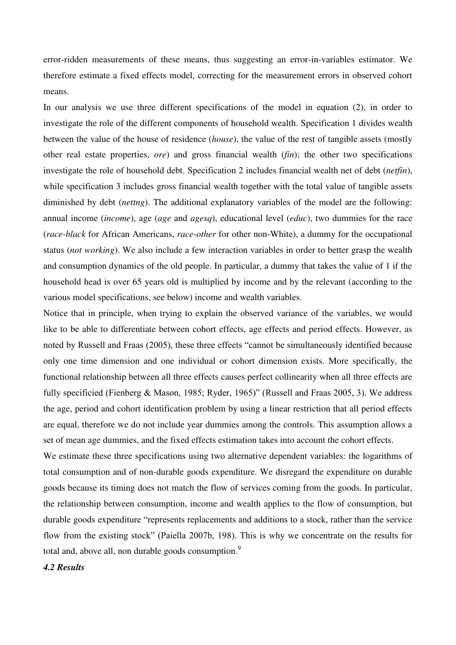error-ridden measurements of these means, thus suggesting an error-in-variables estimator. We therefore estimate a fixed effects model, correcting for the measurement errors in observed cohort means.

In our analysis we use three different specifications of the model in equation (2), in order to investigate the role of the different components of household wealth. Specification 1 divides wealth between the value of the house of residence (*house*), the value of the rest of tangible assets (mostly other real estate properties, *ore*) and gross financial wealth (*fin*); the other two specifications investigate the role of household debt. Specification 2 includes financial wealth net of debt (*netfin*), while specification 3 includes gross financial wealth together with the total value of tangible assets diminished by debt (*nettng*). The additional explanatory variables of the model are the following: annual income (*income*), age (*age* and *agesq*), educational level (*educ*), two dummies for the race (*race-black* for African Americans, *race-other* for other non-White), a dummy for the occupational status (*not working*). We also include a few interaction variables in order to better grasp the wealth and consumption dynamics of the old people. In particular, a dummy that takes the value of 1 if the household head is over 65 years old is multiplied by income and by the relevant (according to the various model specifications, see below) income and wealth variables.

Notice that in principle, when trying to explain the observed variance of the variables, we would like to be able to differentiate between cohort effects, age effects and period effects. However, as noted by Russell and Fraas (2005), these three effects "cannot be simultaneously identified because only one time dimension and one individual or cohort dimension exists. More specifically, the functional relationship between all three effects causes perfect collinearity when all three effects are fully specificied (Fienberg & Mason, 1985; Ryder, 1965)" (Russell and Fraas 2005, 3). We address the age, period and cohort identification problem by using a linear restriction that all period effects are equal, therefore we do not include year dummies among the controls. This assumption allows a set of mean age dummies, and the fixed effects estimation takes into account the cohort effects.

We estimate these three specifications using two alternative dependent variables: the logarithms of total consumption and of non-durable goods expenditure. We disregard the expenditure on durable goods because its timing does not match the flow of services coming from the goods. In particular, the relationship between consumption, income and wealth applies to the flow of consumption, but durable goods expenditure "represents replacements and additions to a stock, rather than the service flow from the existing stock" (Paiella 2007b, 198). This is why we concentrate on the results for total and, above all, non durable goods consumption.<sup>9</sup>

*4.2 Results*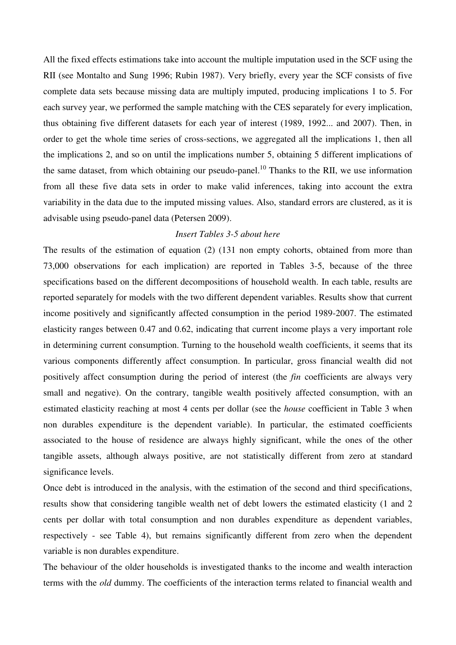All the fixed effects estimations take into account the multiple imputation used in the SCF using the RII (see Montalto and Sung 1996; Rubin 1987). Very briefly, every year the SCF consists of five complete data sets because missing data are multiply imputed, producing implications 1 to 5. For each survey year, we performed the sample matching with the CES separately for every implication, thus obtaining five different datasets for each year of interest (1989, 1992... and 2007). Then, in order to get the whole time series of cross-sections, we aggregated all the implications 1, then all the implications 2, and so on until the implications number 5, obtaining 5 different implications of the same dataset, from which obtaining our pseudo-panel.<sup>10</sup> Thanks to the RII, we use information from all these five data sets in order to make valid inferences, taking into account the extra variability in the data due to the imputed missing values. Also, standard errors are clustered, as it is advisable using pseudo-panel data (Petersen 2009).

#### *Insert Tables 3-5 about here*

The results of the estimation of equation (2) (131 non empty cohorts, obtained from more than 73,000 observations for each implication) are reported in Tables 3-5, because of the three specifications based on the different decompositions of household wealth. In each table, results are reported separately for models with the two different dependent variables. Results show that current income positively and significantly affected consumption in the period 1989-2007. The estimated elasticity ranges between 0.47 and 0.62, indicating that current income plays a very important role in determining current consumption. Turning to the household wealth coefficients, it seems that its various components differently affect consumption. In particular, gross financial wealth did not positively affect consumption during the period of interest (the *fin* coefficients are always very small and negative). On the contrary, tangible wealth positively affected consumption, with an estimated elasticity reaching at most 4 cents per dollar (see the *house* coefficient in Table 3 when non durables expenditure is the dependent variable). In particular, the estimated coefficients associated to the house of residence are always highly significant, while the ones of the other tangible assets, although always positive, are not statistically different from zero at standard significance levels.

Once debt is introduced in the analysis, with the estimation of the second and third specifications, results show that considering tangible wealth net of debt lowers the estimated elasticity (1 and 2 cents per dollar with total consumption and non durables expenditure as dependent variables, respectively - see Table 4), but remains significantly different from zero when the dependent variable is non durables expenditure.

The behaviour of the older households is investigated thanks to the income and wealth interaction terms with the *old* dummy. The coefficients of the interaction terms related to financial wealth and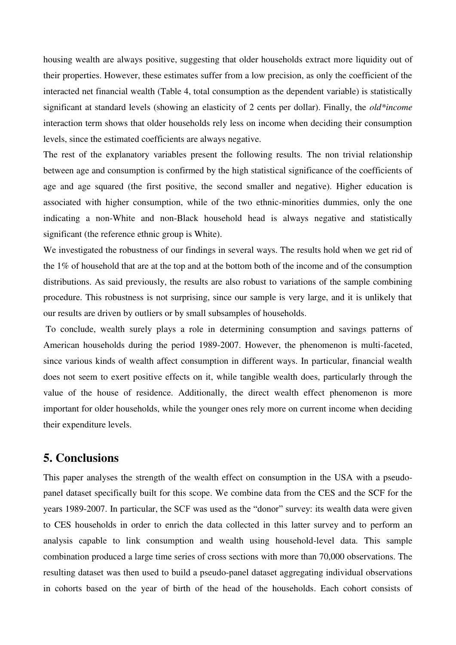housing wealth are always positive, suggesting that older households extract more liquidity out of their properties. However, these estimates suffer from a low precision, as only the coefficient of the interacted net financial wealth (Table 4, total consumption as the dependent variable) is statistically significant at standard levels (showing an elasticity of 2 cents per dollar). Finally, the *old\*income* interaction term shows that older households rely less on income when deciding their consumption levels, since the estimated coefficients are always negative.

The rest of the explanatory variables present the following results. The non trivial relationship between age and consumption is confirmed by the high statistical significance of the coefficients of age and age squared (the first positive, the second smaller and negative). Higher education is associated with higher consumption, while of the two ethnic-minorities dummies, only the one indicating a non-White and non-Black household head is always negative and statistically significant (the reference ethnic group is White).

We investigated the robustness of our findings in several ways. The results hold when we get rid of the 1% of household that are at the top and at the bottom both of the income and of the consumption distributions. As said previously, the results are also robust to variations of the sample combining procedure. This robustness is not surprising, since our sample is very large, and it is unlikely that our results are driven by outliers or by small subsamples of households.

 To conclude, wealth surely plays a role in determining consumption and savings patterns of American households during the period 1989-2007. However, the phenomenon is multi-faceted, since various kinds of wealth affect consumption in different ways. In particular, financial wealth does not seem to exert positive effects on it, while tangible wealth does, particularly through the value of the house of residence. Additionally, the direct wealth effect phenomenon is more important for older households, while the younger ones rely more on current income when deciding their expenditure levels.

### **5. Conclusions**

This paper analyses the strength of the wealth effect on consumption in the USA with a pseudopanel dataset specifically built for this scope. We combine data from the CES and the SCF for the years 1989-2007. In particular, the SCF was used as the "donor" survey: its wealth data were given to CES households in order to enrich the data collected in this latter survey and to perform an analysis capable to link consumption and wealth using household-level data. This sample combination produced a large time series of cross sections with more than 70,000 observations. The resulting dataset was then used to build a pseudo-panel dataset aggregating individual observations in cohorts based on the year of birth of the head of the households. Each cohort consists of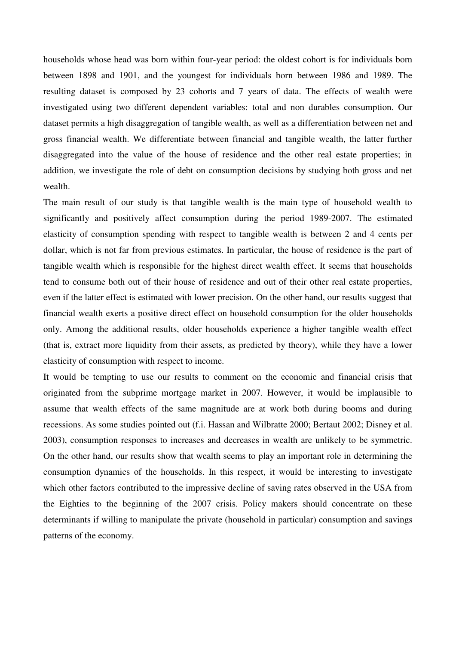households whose head was born within four-year period: the oldest cohort is for individuals born between 1898 and 1901, and the youngest for individuals born between 1986 and 1989. The resulting dataset is composed by 23 cohorts and 7 years of data. The effects of wealth were investigated using two different dependent variables: total and non durables consumption. Our dataset permits a high disaggregation of tangible wealth, as well as a differentiation between net and gross financial wealth. We differentiate between financial and tangible wealth, the latter further disaggregated into the value of the house of residence and the other real estate properties; in addition, we investigate the role of debt on consumption decisions by studying both gross and net wealth.

The main result of our study is that tangible wealth is the main type of household wealth to significantly and positively affect consumption during the period 1989-2007. The estimated elasticity of consumption spending with respect to tangible wealth is between 2 and 4 cents per dollar, which is not far from previous estimates. In particular, the house of residence is the part of tangible wealth which is responsible for the highest direct wealth effect. It seems that households tend to consume both out of their house of residence and out of their other real estate properties, even if the latter effect is estimated with lower precision. On the other hand, our results suggest that financial wealth exerts a positive direct effect on household consumption for the older households only. Among the additional results, older households experience a higher tangible wealth effect (that is, extract more liquidity from their assets, as predicted by theory), while they have a lower elasticity of consumption with respect to income.

It would be tempting to use our results to comment on the economic and financial crisis that originated from the subprime mortgage market in 2007. However, it would be implausible to assume that wealth effects of the same magnitude are at work both during booms and during recessions. As some studies pointed out (f.i. Hassan and Wilbratte 2000; Bertaut 2002; Disney et al. 2003), consumption responses to increases and decreases in wealth are unlikely to be symmetric. On the other hand, our results show that wealth seems to play an important role in determining the consumption dynamics of the households. In this respect, it would be interesting to investigate which other factors contributed to the impressive decline of saving rates observed in the USA from the Eighties to the beginning of the 2007 crisis. Policy makers should concentrate on these determinants if willing to manipulate the private (household in particular) consumption and savings patterns of the economy.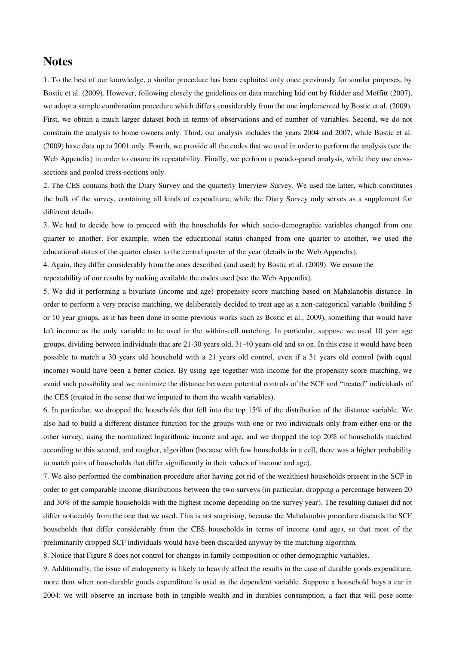### **Notes**

1. To the best of our knowledge, a similar procedure has been exploited only once previously for similar purposes, by Bostic et al. (2009). However, following closely the guidelines on data matching laid out by Ridder and Moffitt (2007), we adopt a sample combination procedure which differs considerably from the one implemented by Bostic et al. (2009). First, we obtain a much larger dataset both in terms of observations and of number of variables. Second, we do not constrain the analysis to home owners only. Third, our analysis includes the years 2004 and 2007, while Bostic et al. (2009) have data up to 2001 only. Fourth, we provide all the codes that we used in order to perform the analysis (see the Web Appendix) in order to ensure its repeatability. Finally, we perform a pseudo-panel analysis, while they use crosssections and pooled cross-sections only.

2. The CES contains both the Diary Survey and the quarterly Interview Survey. We used the latter, which constitutes the bulk of the survey, containing all kinds of expenditure, while the Diary Survey only serves as a supplement for different details.

3. We had to decide how to proceed with the households for which socio-demographic variables changed from one quarter to another. For example, when the educational status changed from one quarter to another, we used the educational status of the quarter closer to the central quarter of the year (details in the Web Appendix).

4. Again, they differ considerably from the ones described (and used) by Bostic et al. (2009). We ensure the repeatability of our results by making available the codes used (see the Web Appendix).

5. We did it performing a bivariate (income and age) propensity score matching based on Mahalanobis distance. In order to perform a very precise matching, we deliberately decided to treat age as a non-categorical variable (building 5 or 10 year groups, as it has been done in some previous works such as Bostic et al., 2009), something that would have left income as the only variable to be used in the within-cell matching. In particular, suppose we used 10 year age groups, dividing between individuals that are 21-30 years old, 31-40 years old and so on. In this case it would have been possible to match a 30 years old household with a 21 years old control, even if a 31 years old control (with equal income) would have been a better choice. By using age together with income for the propensity score matching, we avoid such possibility and we minimize the distance between potential controls of the SCF and "treated" individuals of the CES (treated in the sense that we imputed to them the wealth variables).

6. In particular, we dropped the households that fell into the top 15% of the distribution of the distance variable. We also had to build a different distance function for the groups with one or two individuals only from either one or the other survey, using the normalized logarithmic income and age, and we dropped the top 20% of households matched according to this second, and rougher, algorithm (because with few households in a cell, there was a higher probability to match pairs of households that differ significantly in their values of income and age).

7. We also performed the combination procedure after having got rid of the wealthiest households present in the SCF in order to get comparable income distributions between the two surveys (in particular, dropping a percentage between 20 and 30% of the sample households with the highest income depending on the survey year). The resulting dataset did not differ noticeably from the one that we used. This is not surprising, because the Mahalanobis procedure discards the SCF households that differ considerably from the CES households in terms of income (and age), so that most of the preliminarily dropped SCF individuals would have been discarded anyway by the matching algorithm.

8. Notice that Figure 8 does not control for changes in family composition or other demographic variables.

9. Additionally, the issue of endogeneity is likely to heavily affect the results in the case of durable goods expenditure, more than when non-durable goods expenditure is used as the dependent variable. Suppose a household buys a car in 2004: we will observe an increase both in tangible wealth and in durables consumption, a fact that will pose some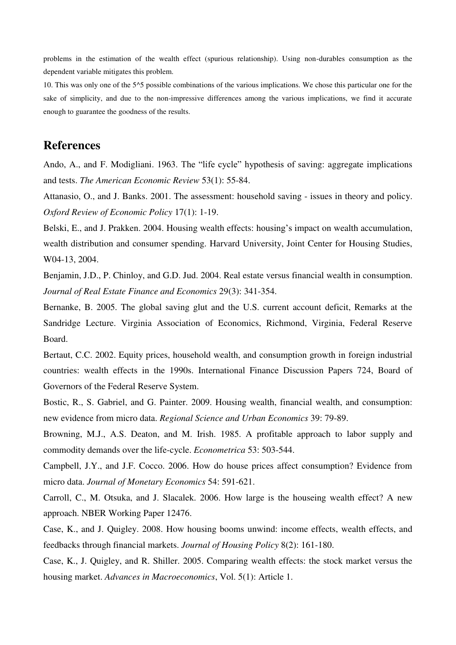problems in the estimation of the wealth effect (spurious relationship). Using non-durables consumption as the dependent variable mitigates this problem.

10. This was only one of the 5^5 possible combinations of the various implications. We chose this particular one for the sake of simplicity, and due to the non-impressive differences among the various implications, we find it accurate enough to guarantee the goodness of the results.

## **References**

Ando, A., and F. Modigliani. 1963. The "life cycle" hypothesis of saving: aggregate implications and tests. *The American Economic Review* 53(1): 55-84.

Attanasio, O., and J. Banks. 2001. The assessment: household saving - issues in theory and policy. *Oxford Review of Economic Policy* 17(1): 1-19.

Belski, E., and J. Prakken. 2004. Housing wealth effects: housing's impact on wealth accumulation, wealth distribution and consumer spending. Harvard University, Joint Center for Housing Studies, W04-13, 2004.

Benjamin, J.D., P. Chinloy, and G.D. Jud. 2004. Real estate versus financial wealth in consumption. *Journal of Real Estate Finance and Economics* 29(3): 341-354.

Bernanke, B. 2005. The global saving glut and the U.S. current account deficit, Remarks at the Sandridge Lecture. Virginia Association of Economics, Richmond, Virginia, Federal Reserve Board.

Bertaut, C.C. 2002. Equity prices, household wealth, and consumption growth in foreign industrial countries: wealth effects in the 1990s. International Finance Discussion Papers 724, Board of Governors of the Federal Reserve System.

Bostic, R., S. Gabriel, and G. Painter. 2009. Housing wealth, financial wealth, and consumption: new evidence from micro data. *Regional Science and Urban Economics* 39: 79-89.

Browning, M.J., A.S. Deaton, and M. Irish. 1985. A profitable approach to labor supply and commodity demands over the life-cycle. *Econometrica* 53: 503-544.

Campbell, J.Y., and J.F. Cocco. 2006. How do house prices affect consumption? Evidence from micro data. *Journal of Monetary Economics* 54: 591-621.

Carroll, C., M. Otsuka, and J. Slacalek. 2006. How large is the houseing wealth effect? A new approach. NBER Working Paper 12476.

Case, K., and J. Quigley. 2008. How housing booms unwind: income effects, wealth effects, and feedbacks through financial markets. *Journal of Housing Policy* 8(2): 161-180.

Case, K., J. Quigley, and R. Shiller. 2005. Comparing wealth effects: the stock market versus the housing market. *Advances in Macroeconomics*, Vol. 5(1): Article 1.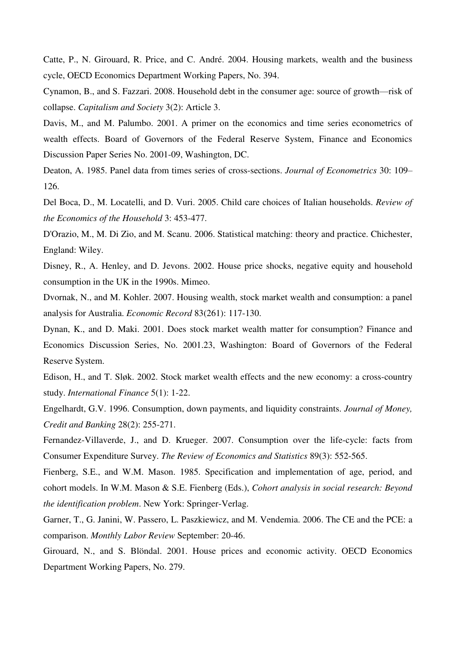Catte, P., N. Girouard, R. Price, and C. André. 2004. Housing markets, wealth and the business cycle, OECD Economics Department Working Papers, No. 394.

Cynamon, B., and S. Fazzari. 2008. Household debt in the consumer age: source of growth—risk of collapse. *Capitalism and Society* 3(2): Article 3.

Davis, M., and M. Palumbo. 2001. A primer on the economics and time series econometrics of wealth effects. Board of Governors of the Federal Reserve System, Finance and Economics Discussion Paper Series No. 2001-09, Washington, DC.

Deaton, A. 1985. Panel data from times series of cross-sections. *Journal of Econometrics* 30: 109– 126.

Del Boca, D., M. Locatelli, and D. Vuri. 2005. Child care choices of Italian households. *Review of the Economics of the Household* 3: 453-477.

D'Orazio, M., M. Di Zio, and M. Scanu. 2006. Statistical matching: theory and practice. Chichester, England: Wiley.

Disney, R., A. Henley, and D. Jevons. 2002. House price shocks, negative equity and household consumption in the UK in the 1990s. Mimeo.

Dvornak, N., and M. Kohler. 2007. Housing wealth, stock market wealth and consumption: a panel analysis for Australia. *Economic Record* 83(261): 117-130.

Dynan, K., and D. Maki. 2001. Does stock market wealth matter for consumption? Finance and Economics Discussion Series, No. 2001.23, Washington: Board of Governors of the Federal Reserve System.

Edison, H., and T. Sløk. 2002. Stock market wealth effects and the new economy: a cross-country study. *International Finance* 5(1): 1-22.

Engelhardt, G.V. 1996. Consumption, down payments, and liquidity constraints. *Journal of Money, Credit and Banking* 28(2): 255-271.

Fernandez-Villaverde, J., and D. Krueger. 2007. Consumption over the life-cycle: facts from Consumer Expenditure Survey. *The Review of Economics and Statistics* 89(3): 552-565.

Fienberg, S.E., and W.M. Mason. 1985. Specification and implementation of age, period, and cohort models. In W.M. Mason & S.E. Fienberg (Eds.), *Cohort analysis in social research: Beyond the identification problem*. New York: Springer-Verlag.

Garner, T., G. Janini, W. Passero, L. Paszkiewicz, and M. Vendemia. 2006. The CE and the PCE: a comparison. *Monthly Labor Review* September: 20-46.

Girouard, N., and S. Blöndal. 2001. House prices and economic activity. OECD Economics Department Working Papers, No. 279.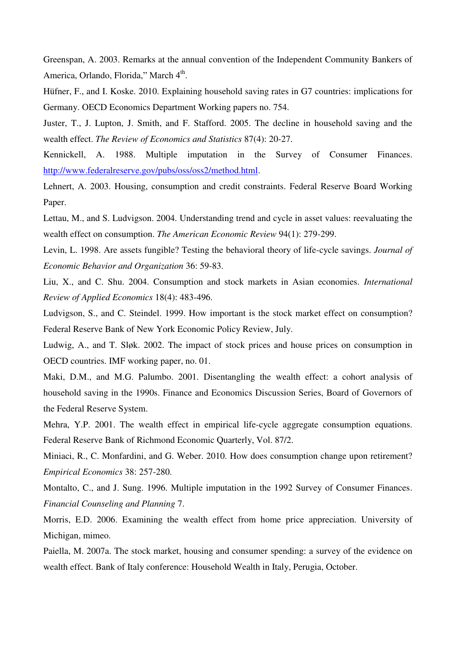Greenspan, A. 2003. Remarks at the annual convention of the Independent Community Bankers of America, Orlando, Florida," March 4<sup>th</sup>.

Hüfner, F., and I. Koske. 2010. Explaining household saving rates in G7 countries: implications for Germany. OECD Economics Department Working papers no. 754.

Juster, T., J. Lupton, J. Smith, and F. Stafford. 2005. The decline in household saving and the wealth effect. *The Review of Economics and Statistics* 87(4): 20-27.

Kennickell, A. 1988. Multiple imputation in the Survey of Consumer Finances. [http://www.federalreserve.gov/pubs/oss/oss2/method.html.](http://www.federalreserve.gov/pubs/oss/oss2/method.html)

Lehnert, A. 2003. Housing, consumption and credit constraints. Federal Reserve Board Working Paper.

Lettau, M., and S. Ludvigson. 2004. Understanding trend and cycle in asset values: reevaluating the wealth effect on consumption. *The American Economic Review* 94(1): 279-299.

Levin, L. 1998. Are assets fungible? Testing the behavioral theory of life-cycle savings. *Journal of Economic Behavior and Organization* 36: 59-83.

Liu, X., and C. Shu. 2004. Consumption and stock markets in Asian economies. *International Review of Applied Economics* 18(4): 483-496.

Ludvigson, S., and C. Steindel. 1999. How important is the stock market effect on consumption? Federal Reserve Bank of New York Economic Policy Review, July.

Ludwig, A., and T. Sløk. 2002. The impact of stock prices and house prices on consumption in OECD countries. IMF working paper, no. 01.

Maki, D.M., and M.G. Palumbo. 2001. Disentangling the wealth effect: a cohort analysis of household saving in the 1990s. Finance and Economics Discussion Series, Board of Governors of the Federal Reserve System.

Mehra, Y.P. 2001. The wealth effect in empirical life-cycle aggregate consumption equations. Federal Reserve Bank of Richmond Economic Quarterly, Vol. 87/2.

Miniaci, R., C. Monfardini, and G. Weber. 2010. How does consumption change upon retirement? *Empirical Economics* 38: 257-280.

Montalto, C., and J. Sung. 1996. Multiple imputation in the 1992 Survey of Consumer Finances. *Financial Counseling and Planning* 7.

Morris, E.D. 2006. Examining the wealth effect from home price appreciation. University of Michigan, mimeo.

Paiella, M. 2007a. The stock market, housing and consumer spending: a survey of the evidence on wealth effect. Bank of Italy conference: Household Wealth in Italy, Perugia, October.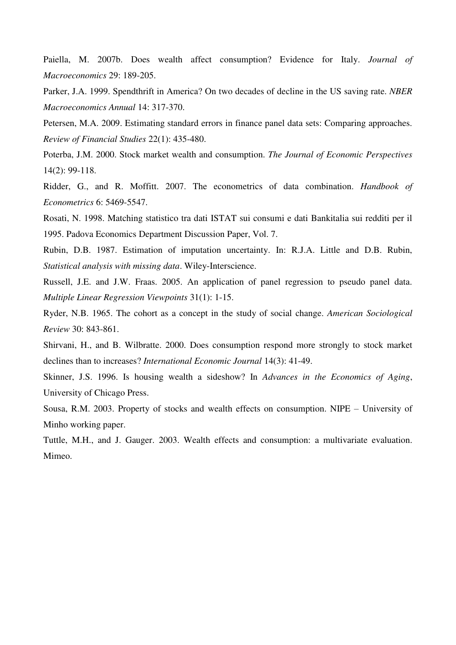Paiella, M. 2007b. Does wealth affect consumption? Evidence for Italy. *Journal of Macroeconomics* 29: 189-205.

Parker, J.A. 1999. Spendthrift in America? On two decades of decline in the US saving rate. *NBER Macroeconomics Annual* 14: 317-370.

Petersen, M.A. 2009. Estimating standard errors in finance panel data sets: Comparing approaches. *Review of Financial Studies* 22(1): 435-480.

Poterba, J.M. 2000. Stock market wealth and consumption. *The Journal of Economic Perspectives* 14(2): 99-118.

Ridder, G., and R. Moffitt. 2007. The econometrics of data combination. *Handbook of Econometrics* 6: 5469-5547.

Rosati, N. 1998. Matching statistico tra dati ISTAT sui consumi e dati Bankitalia sui redditi per il 1995. Padova Economics Department Discussion Paper, Vol. 7.

Rubin, D.B. 1987. Estimation of imputation uncertainty. In: R.J.A. Little and D.B. Rubin, *Statistical analysis with missing data*. Wiley-Interscience.

Russell, J.E. and J.W. Fraas. 2005. An application of panel regression to pseudo panel data. *Multiple Linear Regression Viewpoints* 31(1): 1-15.

Ryder, N.B. 1965. The cohort as a concept in the study of social change. *American Sociological Review* 30: 843-861.

Shirvani, H., and B. Wilbratte. 2000. Does consumption respond more strongly to stock market declines than to increases? *International Economic Journal* 14(3): 41-49.

Skinner, J.S. 1996. Is housing wealth a sideshow? In *Advances in the Economics of Aging*, University of Chicago Press.

Sousa, R.M. 2003. Property of stocks and wealth effects on consumption. NIPE – University of Minho working paper.

Tuttle, M.H., and J. Gauger. 2003. Wealth effects and consumption: a multivariate evaluation. Mimeo.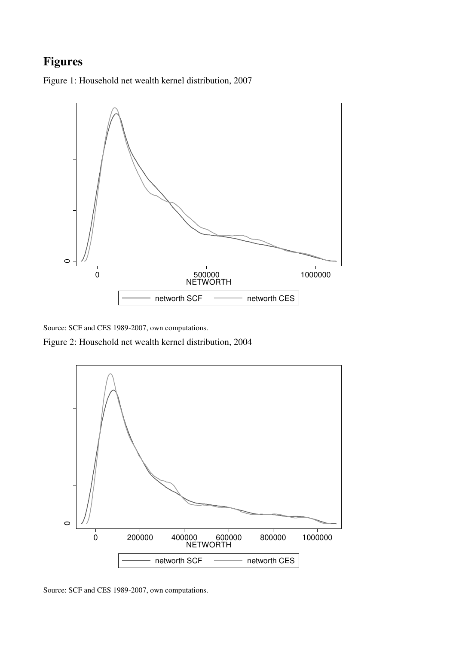# **Figures**

Figure 1: Household net wealth kernel distribution, 2007



Source: SCF and CES 1989-2007, own computations.

Figure 2: Household net wealth kernel distribution, 2004



Source: SCF and CES 1989-2007, own computations.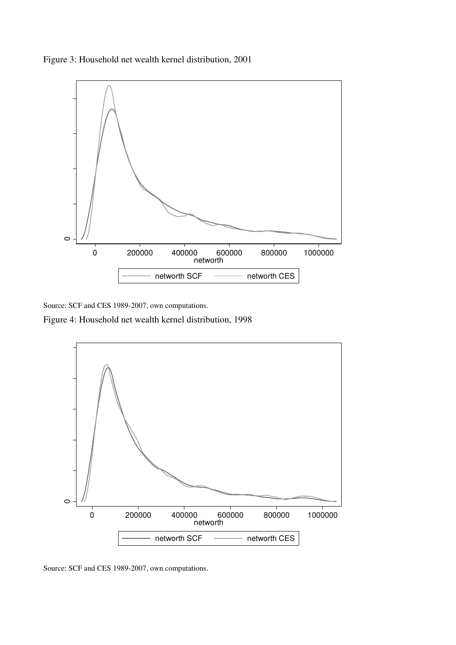Figure 3: Household net wealth kernel distribution, 2001



Source: SCF and CES 1989-2007, own computations.

Figure 4: Household net wealth kernel distribution, 1998



Source: SCF and CES 1989-2007, own computations.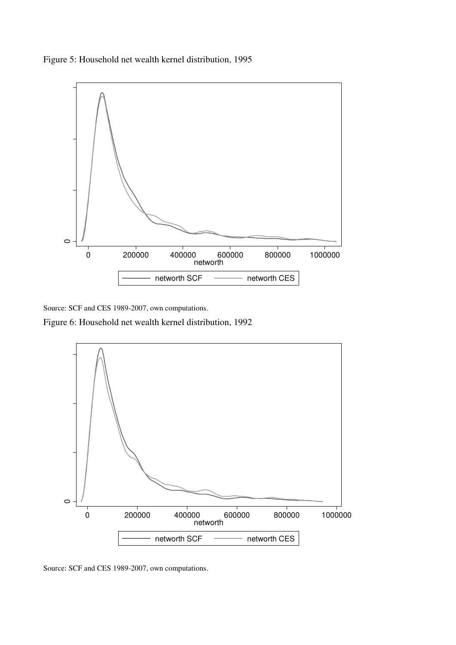



Source: SCF and CES 1989-2007, own computations.

Figure 6: Household net wealth kernel distribution, 1992



Source: SCF and CES 1989-2007, own computations.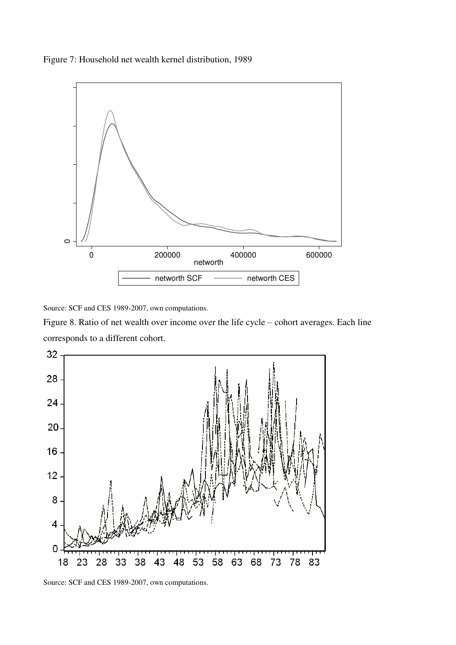Figure 7: Household net wealth kernel distribution, 1989



Source: SCF and CES 1989-2007, own computations.

Figure 8. Ratio of net wealth over income over the life cycle – cohort averages. Each line corresponds to a different cohort.



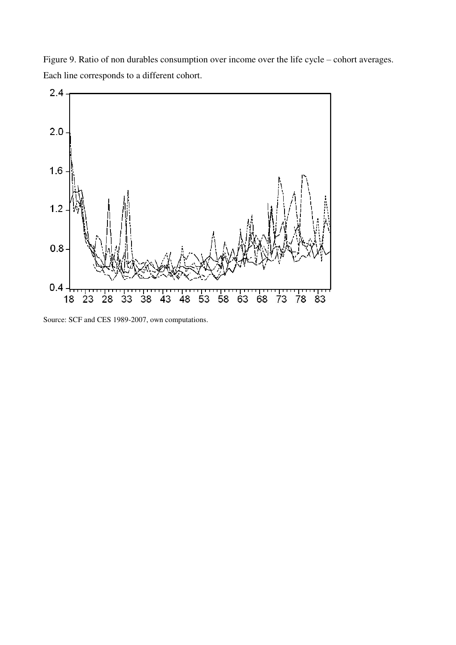Figure 9. Ratio of non durables consumption over income over the life cycle – cohort averages. Each line corresponds to a different cohort.



Source: SCF and CES 1989-2007, own computations.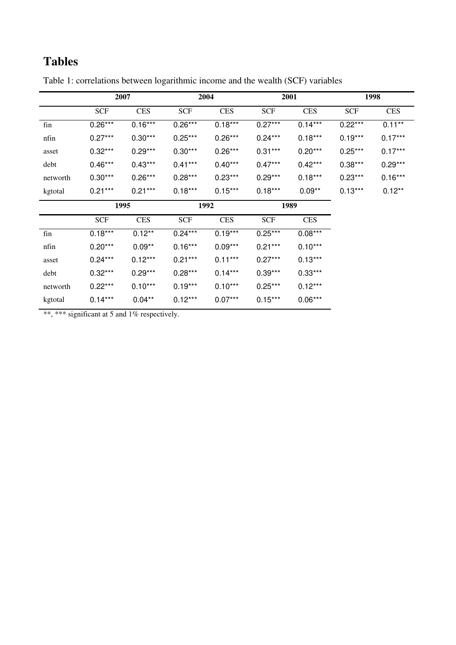# **Tables**

|          | 2007       |            | 2004       |            | 2001       |            | 1998       |            |
|----------|------------|------------|------------|------------|------------|------------|------------|------------|
|          | <b>SCF</b> | <b>CES</b> | <b>SCF</b> | <b>CES</b> | <b>SCF</b> | <b>CES</b> | <b>SCF</b> | <b>CES</b> |
| fin      | $0.26***$  | $0.16***$  | $0.26***$  | $0.18***$  | $0.27***$  | $0.14***$  | $0.22***$  | $0.11***$  |
| nfin     | $0.27***$  | $0.30***$  | $0.25***$  | $0.26***$  | $0.24***$  | $0.18***$  | $0.19***$  | $0.17***$  |
| asset    | $0.32***$  | $0.29***$  | $0.30***$  | $0.26***$  | $0.31***$  | $0.20***$  | $0.25***$  | $0.17***$  |
| debt     | $0.46***$  | $0.43***$  | $0.41***$  | $0.40***$  | $0.47***$  | $0.42***$  | $0.38***$  | $0.29***$  |
| networth | $0.30***$  | $0.26***$  | $0.28***$  | $0.23***$  | $0.29***$  | $0.18***$  | $0.23***$  | $0.16***$  |
| kgtotal  | $0.21***$  | $0.21***$  | $0.18***$  | $0.15***$  | $0.18***$  | $0.09**$   | $0.13***$  | $0.12***$  |
|          | 1995       |            | 1992       |            | 1989       |            |            |            |
|          | <b>SCF</b> | <b>CES</b> | <b>SCF</b> | <b>CES</b> | <b>SCF</b> | <b>CES</b> |            |            |
| fin      | $0.18***$  | $0.12**$   | $0.24***$  | $0.19***$  | $0.25***$  | $0.08***$  |            |            |
| nfin     | $0.20***$  | $0.09**$   | $0.16***$  | $0.09***$  | $0.21***$  | $0.10***$  |            |            |
| asset    | $0.24***$  | $0.12***$  | $0.21***$  | $0.11***$  | $0.27***$  | $0.13***$  |            |            |
| debt     | $0.32***$  | $0.29***$  | $0.28***$  | $0.14***$  | $0.39***$  | $0.33***$  |            |            |
| networth | $0.22***$  | $0.10***$  | $0.19***$  | $0.10***$  | $0.25***$  | $0.12***$  |            |            |
| kgtotal  | $0.14***$  | $0.04***$  | $0.12***$  | $0.07***$  | $0.15***$  | $0.06***$  |            |            |

Table 1: correlations between logarithmic income and the wealth (SCF) variables

\*\*, \*\*\* significant at 5 and 1% respectively.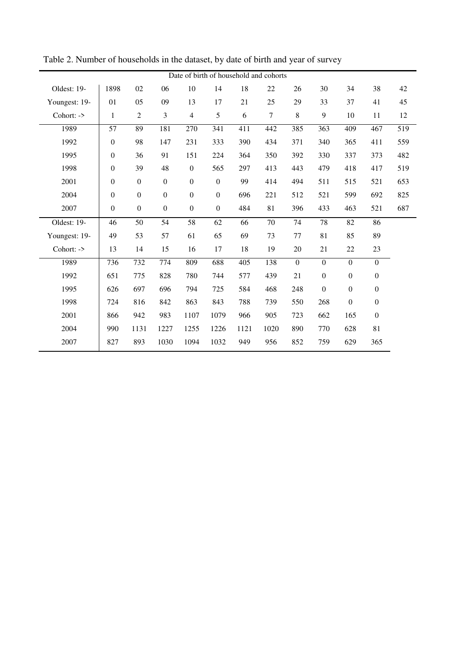| Date of birth of household and cohorts |                  |                  |                  |                  |                  |      |        |                  |                  |                  |                  |     |
|----------------------------------------|------------------|------------------|------------------|------------------|------------------|------|--------|------------------|------------------|------------------|------------------|-----|
| Oldest: 19-                            | 1898             | $02\,$           | 06               | 10               | 14               | 18   | 22     | 26               | 30               | 34               | 38               | 42  |
| Youngest: 19-                          | 01               | 05               | 09               | 13               | 17               | 21   | 25     | 29               | 33               | 37               | 41               | 45  |
| Cohort: ->                             | $\mathbf{1}$     | $\overline{2}$   | 3                | $\overline{4}$   | 5                | 6    | $\tau$ | 8                | 9                | 10               | 11               | 12  |
| 1989                                   | 57               | 89               | 181              | 270              | 341              | 411  | 442    | 385              | 363              | 409              | 467              | 519 |
| 1992                                   | $\boldsymbol{0}$ | 98               | 147              | 231              | 333              | 390  | 434    | 371              | 340              | 365              | 411              | 559 |
| 1995                                   | $\boldsymbol{0}$ | 36               | 91               | 151              | 224              | 364  | 350    | 392              | 330              | 337              | 373              | 482 |
| 1998                                   | $\boldsymbol{0}$ | 39               | 48               | $\boldsymbol{0}$ | 565              | 297  | 413    | 443              | 479              | 418              | 417              | 519 |
| 2001                                   | $\boldsymbol{0}$ | $\mathbf{0}$     | $\mathbf{0}$     | $\boldsymbol{0}$ | $\boldsymbol{0}$ | 99   | 414    | 494              | 511              | 515              | 521              | 653 |
| 2004                                   | $\boldsymbol{0}$ | $\boldsymbol{0}$ | $\boldsymbol{0}$ | $\boldsymbol{0}$ | $\boldsymbol{0}$ | 696  | 221    | 512              | 521              | 599              | 692              | 825 |
| 2007                                   | $\boldsymbol{0}$ | $\mathbf{0}$     | $\boldsymbol{0}$ | $\boldsymbol{0}$ | $\boldsymbol{0}$ | 484  | 81     | 396              | 433              | 463              | 521              | 687 |
| Oldest: 19-                            | 46               | 50               | 54               | 58               | 62               | 66   | 70     | 74               | 78               | 82               | 86               |     |
| Youngest: 19-                          | 49               | 53               | 57               | 61               | 65               | 69   | 73     | 77               | 81               | 85               | 89               |     |
| Cohort: ->                             | 13               | 14               | 15               | 16               | 17               | 18   | 19     | 20               | 21               | 22               | 23               |     |
| 1989                                   | 736              | 732              | 774              | 809              | 688              | 405  | 138    | $\boldsymbol{0}$ | $\boldsymbol{0}$ | $\boldsymbol{0}$ | $\mathbf{0}$     |     |
| 1992                                   | 651              | 775              | 828              | 780              | 744              | 577  | 439    | 21               | $\boldsymbol{0}$ | $\boldsymbol{0}$ | $\boldsymbol{0}$ |     |
| 1995                                   | 626              | 697              | 696              | 794              | 725              | 584  | 468    | 248              | $\boldsymbol{0}$ | $\boldsymbol{0}$ | $\boldsymbol{0}$ |     |
| 1998                                   | 724              | 816              | 842              | 863              | 843              | 788  | 739    | 550              | 268              | $\boldsymbol{0}$ | $\boldsymbol{0}$ |     |
| 2001                                   | 866              | 942              | 983              | 1107             | 1079             | 966  | 905    | 723              | 662              | 165              | $\boldsymbol{0}$ |     |
| 2004                                   | 990              | 1131             | 1227             | 1255             | 1226             | 1121 | 1020   | 890              | 770              | 628              | 81               |     |
| 2007                                   | 827              | 893              | 1030             | 1094             | 1032             | 949  | 956    | 852              | 759              | 629              | 365              |     |

Table 2. Number of households in the dataset, by date of birth and year of survey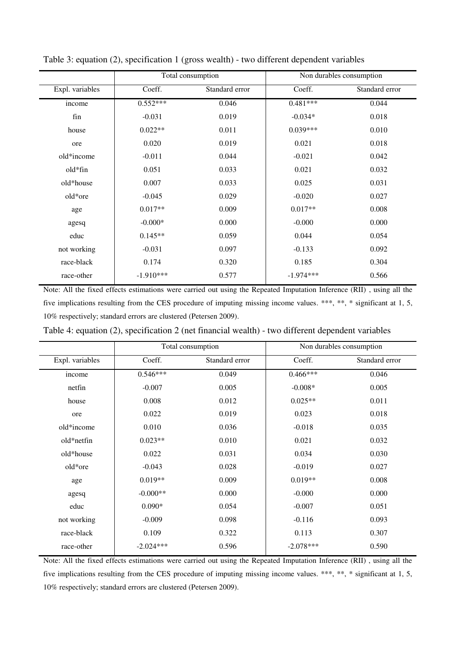|                 |             | Total consumption | Non durables consumption |                |  |
|-----------------|-------------|-------------------|--------------------------|----------------|--|
| Expl. variables | Coeff.      | Standard error    | Coeff.                   | Standard error |  |
| income          | $0.552***$  | 0.046             | $0.481***$               | 0.044          |  |
| fin             | $-0.031$    | 0.019             | $-0.034*$                | 0.018          |  |
| house           | $0.022**$   | 0.011             | $0.039***$               | 0.010          |  |
| ore             | 0.020       | 0.019             | 0.021                    | 0.018          |  |
| old*income      | $-0.011$    | 0.044             | $-0.021$                 | 0.042          |  |
| old*fin         | 0.051       | 0.033             | 0.021                    | 0.032          |  |
| old*house       | 0.007       | 0.033             | 0.025                    | 0.031          |  |
| old*ore         | $-0.045$    | 0.029             | $-0.020$                 | 0.027          |  |
| age             | $0.017**$   | 0.009             | $0.017**$                | 0.008          |  |
| agesq           | $-0.000*$   | 0.000             | $-0.000$                 | 0.000          |  |
| educ            | $0.145**$   | 0.059             | 0.044                    | 0.054          |  |
| not working     | $-0.031$    | 0.097             | $-0.133$                 | 0.092          |  |
| race-black      | 0.174       | 0.320             | 0.185                    | 0.304          |  |
| race-other      | $-1.910***$ | 0.577             | $-1.974***$              | 0.566          |  |

Table 3: equation (2), specification 1 (gross wealth) - two different dependent variables

Note: All the fixed effects estimations were carried out using the Repeated Imputation Inference (RII) , using all the five implications resulting from the CES procedure of imputing missing income values. \*\*\*, \*\*, \* significant at 1, 5, 10% respectively; standard errors are clustered (Petersen 2009).

Table 4: equation (2), specification 2 (net financial wealth) - two different dependent variables

|                 |             | Total consumption | Non durables consumption |                |  |
|-----------------|-------------|-------------------|--------------------------|----------------|--|
| Expl. variables | Coeff.      | Standard error    | Coeff.                   | Standard error |  |
| income          | $0.546***$  | 0.049             | $0.466***$               | 0.046          |  |
| netfin          | $-0.007$    | 0.005             | $-0.008*$                | 0.005          |  |
| house           | 0.008       | 0.012             | $0.025**$                | 0.011          |  |
| ore             | 0.022       | 0.019             | 0.023                    | 0.018          |  |
| old*income      | 0.010       | 0.036             | $-0.018$                 | 0.035          |  |
| old*netfin      | $0.023**$   | 0.010             | 0.021                    | 0.032          |  |
| old*house       | 0.022       | 0.031             | 0.034                    | 0.030          |  |
| old*ore         | $-0.043$    | 0.028             | $-0.019$                 | 0.027          |  |
| age             | $0.019**$   | 0.009             | $0.019**$                | 0.008          |  |
| agesq           | $-0.000**$  | 0.000             | $-0.000$                 | 0.000          |  |
| educ            | $0.090*$    | 0.054             | $-0.007$                 | 0.051          |  |
| not working     | $-0.009$    | 0.098             | $-0.116$                 | 0.093          |  |
| race-black      | 0.109       | 0.322             | 0.113                    | 0.307          |  |
| race-other      | $-2.024***$ | 0.596             | $-2.078***$              | 0.590          |  |

Note: All the fixed effects estimations were carried out using the Repeated Imputation Inference (RII) , using all the five implications resulting from the CES procedure of imputing missing income values. \*\*\*, \*\*, \* significant at 1, 5, 10% respectively; standard errors are clustered (Petersen 2009).